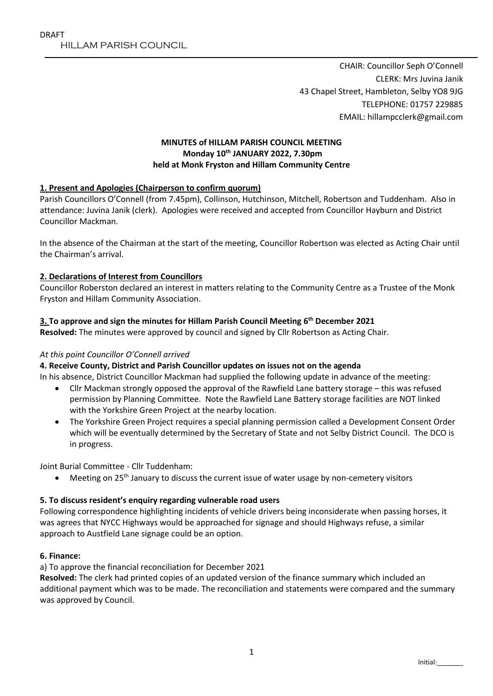CHAIR: Councillor Seph O'Connell CLERK: Mrs Juvina Janik 43 Chapel Street, Hambleton, Selby YO8 9JG TELEPHONE: 01757 229885 EMAIL: hillampcclerk@gmail.com

# **MINUTES of HILLAM PARISH COUNCIL MEETING Monday 10th JANUARY 2022, 7.30pm held at Monk Fryston and Hillam Community Centre**

# **1. Present and Apologies (Chairperson to confirm quorum)**

Parish Councillors O'Connell (from 7.45pm), Collinson, Hutchinson, Mitchell, Robertson and Tuddenham. Also in attendance: Juvina Janik (clerk). Apologies were received and accepted from Councillor Hayburn and District Councillor Mackman.

In the absence of the Chairman at the start of the meeting, Councillor Robertson was elected as Acting Chair until the Chairman's arrival.

## **2. Declarations of Interest from Councillors**

Councillor Roberston declared an interest in matters relating to the Community Centre as a Trustee of the Monk Fryston and Hillam Community Association.

# **3. To approve and sign the minutes for Hillam Parish Council Meeting 6 th December 2021**

**Resolved:** The minutes were approved by council and signed by Cllr Robertson as Acting Chair.

## *At this point Councillor O'Connell arrived*

## **4. Receive County, District and Parish Councillor updates on issues not on the agenda**

In his absence, District Councillor Mackman had supplied the following update in advance of the meeting:

- Cllr Mackman strongly opposed the approval of the Rawfield Lane battery storage this was refused permission by Planning Committee. Note the Rawfield Lane Battery storage facilities are NOT linked with the Yorkshire Green Project at the nearby location.
- The Yorkshire Green Project requires a special planning permission called a Development Consent Order which will be eventually determined by the Secretary of State and not Selby District Council. The DCO is in progress.

Joint Burial Committee - Cllr Tuddenham:

 $\bullet$  Meeting on 25<sup>th</sup> January to discuss the current issue of water usage by non-cemetery visitors

## **5. To discuss resident's enquiry regarding vulnerable road users**

Following correspondence highlighting incidents of vehicle drivers being inconsiderate when passing horses, it was agrees that NYCC Highways would be approached for signage and should Highways refuse, a similar approach to Austfield Lane signage could be an option.

## **6. Finance:**

a) To approve the financial reconciliation for December 2021

**Resolved:** The clerk had printed copies of an updated version of the finance summary which included an additional payment which was to be made. The reconciliation and statements were compared and the summary was approved by Council.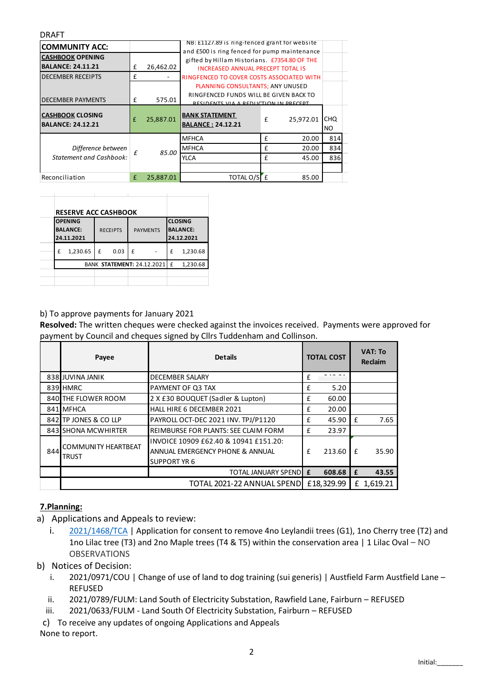#### DRAFT

|                                                                                                   |   |           | NB: £1127.89 is ring-tenced grant for website                                        |   |               |           |
|---------------------------------------------------------------------------------------------------|---|-----------|--------------------------------------------------------------------------------------|---|---------------|-----------|
| <b>COMMUNITY ACC:</b>                                                                             |   |           | and £500 is ring fenced for pump maintenance                                         |   |               |           |
| <b>CASHBOOK OPENING</b>                                                                           |   |           | gifted by Hillam Historians. £7354.80 OF THE                                         |   |               |           |
| <b>BALANCE: 24.11.21</b>                                                                          |   | 26,462.02 | <b>INCREASED ANNUAL PRECEPT TOTAL IS</b>                                             |   |               |           |
| <b>DECEMBER RECEIPTS</b>                                                                          |   |           | <b>RINGFENCED TO COVER COSTS ASSOCIATED WITH</b>                                     |   |               |           |
|                                                                                                   |   |           | PLANNING CONSULTANTS; ANY UNUSED                                                     |   |               |           |
|                                                                                                   |   | 575.01    | RINGFENCED FUNDS WILL BE GIVEN BACK TO<br><b>DECIDENTS VIA A DEDITION IN DDECEDT</b> |   |               |           |
|                                                                                                   |   | 25,887.01 | <b>BANK STATEMENT</b><br><b>BALANCE: 24.12.21</b>                                    | £ | 25,972.01 CHQ | <b>NO</b> |
|                                                                                                   |   |           | <b>MFHCA</b>                                                                         |   | 20.00         | 814       |
| Difference between                                                                                |   | 85.00     | <b>MFHCA</b>                                                                         |   | 20.00         | 834       |
| <b>Statement and Cashbook:</b>                                                                    |   |           | YLCA                                                                                 |   | 45.00         | 836       |
| <b>DECEMBER PAYMENTS</b><br><b>CASHBOOK CLOSING</b><br><b>BALANCE: 24.12.21</b><br>Reconciliation |   |           |                                                                                      |   |               |           |
|                                                                                                   | £ | 25,887.01 | TOTAL O/SE                                                                           |   | 85.00         |           |

|                                    | <b>RESERVE ACC CASHBOOK</b>                     |  |  |  |  |  |
|------------------------------------|-------------------------------------------------|--|--|--|--|--|
| <b>RECEIPTS</b><br><b>PAYMENTS</b> | <b>OPENING</b><br><b>BALANCE:</b><br>24.11.2021 |  |  |  |  |  |
| 0.03<br>£                          | 1,230.65<br>£                                   |  |  |  |  |  |
| BANK STATEMENT: 24.12.2021 E       |                                                 |  |  |  |  |  |
|                                    |                                                 |  |  |  |  |  |

## b) To approve payments for January 2021

**Resolved:** The written cheques were checked against the invoices received. Payments were approved for payment by Council and cheques signed by Cllrs Tuddenham and Collinson.

|     | Payee                                      | <b>Details</b>                                                                                  |            | <b>TOTAL COST</b> | <b>VAT: To</b><br>Reclaim |       |
|-----|--------------------------------------------|-------------------------------------------------------------------------------------------------|------------|-------------------|---------------------------|-------|
|     | 838 JUVINA JANIK                           | <b>DECEMBER SALARY</b>                                                                          | £          |                   |                           |       |
|     | 839 HMRC                                   | PAYMENT OF Q3 TAX                                                                               | £          | 5.20              |                           |       |
|     | 840 THE FLOWER ROOM                        | 2 X £30 BOUQUET (Sadler & Lupton)                                                               | £          | 60.00             |                           |       |
|     | 841 MFHCA                                  | HALL HIRE 6 DECEMBER 2021                                                                       | £          | 20.00             |                           |       |
|     | 842 TP JONES & CO LLP                      | PAYROLL OCT-DEC 2021 INV. TPJ/P1120                                                             | £          | 45.90             | f                         | 7.65  |
|     | 843 SHONA MCWHIRTER                        | REIMBURSE FOR PLANTS: SEE CLAIM FORM                                                            | £          | 23.97             |                           |       |
| 844 | <b>COMMUNITY HEARTBEAT</b><br><b>TRUST</b> | INVOICE 10909 £62.40 & 10941 £151.20:<br>ANNUAL EMERGENCY PHONE & ANNUAL<br><b>SUPPORT YR 6</b> | f          | 213.60            | £                         | 35.90 |
|     |                                            | <b>TOTAL JANUARY SPEND</b>                                                                      | £          | 608.68            | £                         | 43.55 |
|     |                                            | TOTAL 2021-22 ANNUAL SPEND                                                                      | £18,329.99 |                   | £ 1,619.21                |       |

# **7.Planning:**

- a) Applications and Appeals to review:
	- i. [2021/1468/TCA](https://public.selby.gov.uk/online-applications/applicationDetails.do?keyVal=R3J7LLNX08600&activeTab=summary) | Application for consent to remove 4no Leylandii trees (G1), 1no Cherry tree (T2) and 1no Lilac tree (T3) and 2no Maple trees (T4 & T5) within the conservation area | 1 Lilac Oval – NO OBSERVATIONS
- b) Notices of Decision:
	- i. 2021/0971/COU | Change of use of land to dog training (sui generis) | Austfield Farm Austfield Lane REFUSED
	- ii. 2021/0789/FULM: Land South of Electricity Substation, Rawfield Lane, Fairburn REFUSED
	- iii. 2021/0633/FULM Land South Of Electricity Substation, Fairburn REFUSED
- c) To receive any updates of ongoing Applications and Appeals
- None to report.